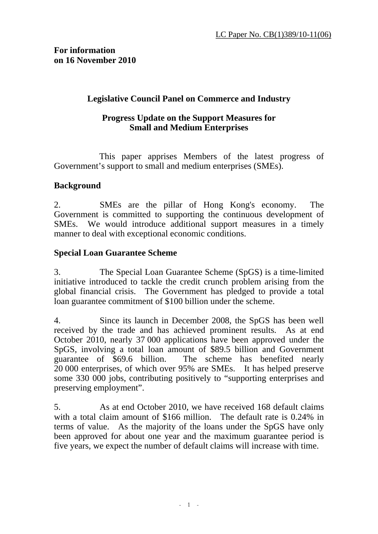## **Legislative Council Panel on Commerce and Industry**

### **Progress Update on the Support Measures for Small and Medium Enterprises**

 This paper apprises Members of the latest progress of Government's support to small and medium enterprises (SMEs).

## **Background**

2. SMEs are the pillar of Hong Kong's economy. The Government is committed to supporting the continuous development of SMEs. We would introduce additional support measures in a timely manner to deal with exceptional economic conditions.

## **Special Loan Guarantee Scheme**

3. The Special Loan Guarantee Scheme (SpGS) is a time-limited initiative introduced to tackle the credit crunch problem arising from the global financial crisis. The Government has pledged to provide a total loan guarantee commitment of \$100 billion under the scheme.

4. Since its launch in December 2008, the SpGS has been well received by the trade and has achieved prominent results. As at end October 2010, nearly 37 000 applications have been approved under the SpGS, involving a total loan amount of \$89.5 billion and Government guarantee of \$69.6 billion. The scheme has benefited nearly The scheme has benefited nearly 20 000 enterprises, of which over 95% are SMEs. It has helped preserve some 330 000 jobs, contributing positively to "supporting enterprises and preserving employment".

5. As at end October 2010, we have received 168 default claims with a total claim amount of \$166 million. The default rate is 0.24% in terms of value. As the majority of the loans under the SpGS have only been approved for about one year and the maximum guarantee period is five years, we expect the number of default claims will increase with time.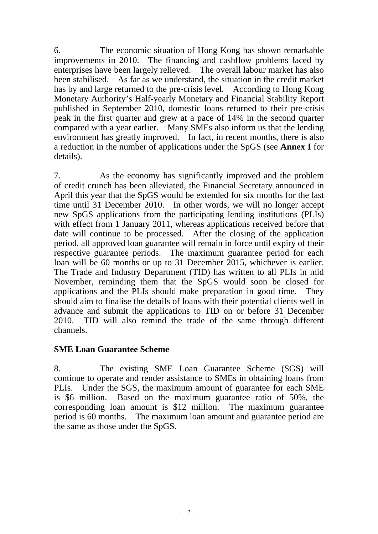6. The economic situation of Hong Kong has shown remarkable improvements in 2010. The financing and cashflow problems faced by enterprises have been largely relieved. The overall labour market has also been stabilised. As far as we understand, the situation in the credit market has by and large returned to the pre-crisis level. According to Hong Kong Monetary Authority's Half-yearly Monetary and Financial Stability Report published in September 2010, domestic loans returned to their pre-crisis peak in the first quarter and grew at a pace of 14% in the second quarter compared with a year earlier. Many SMEs also inform us that the lending environment has greatly improved. In fact, in recent months, there is also a reduction in the number of applications under the SpGS (see **Annex I** for details).

7. As the economy has significantly improved and the problem of credit crunch has been alleviated, the Financial Secretary announced in April this year that the SpGS would be extended for six months for the last time until 31 December 2010. In other words, we will no longer accept new SpGS applications from the participating lending institutions (PLIs) with effect from 1 January 2011, whereas applications received before that date will continue to be processed. After the closing of the application period, all approved loan guarantee will remain in force until expiry of their respective guarantee periods. The maximum guarantee period for each loan will be 60 months or up to 31 December 2015, whichever is earlier. The Trade and Industry Department (TID) has written to all PLIs in mid November, reminding them that the SpGS would soon be closed for applications and the PLIs should make preparation in good time. They should aim to finalise the details of loans with their potential clients well in advance and submit the applications to TID on or before 31 December 2010. TID will also remind the trade of the same through different channels.

## **SME Loan Guarantee Scheme**

8. The existing SME Loan Guarantee Scheme (SGS) will continue to operate and render assistance to SMEs in obtaining loans from PLIs. Under the SGS, the maximum amount of guarantee for each SME is \$6 million. Based on the maximum guarantee ratio of 50%, the corresponding loan amount is \$12 million. The maximum guarantee period is 60 months. The maximum loan amount and guarantee period are the same as those under the SpGS.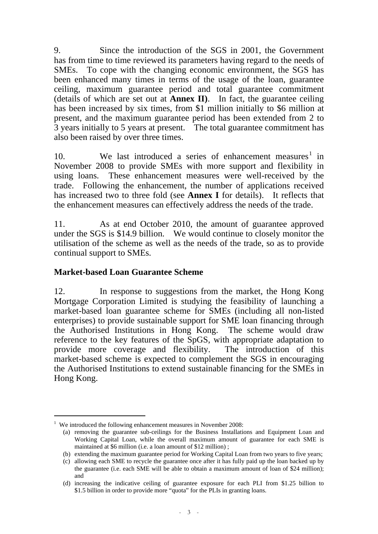9. Since the introduction of the SGS in 2001, the Government has from time to time reviewed its parameters having regard to the needs of SMEs. To cope with the changing economic environment, the SGS has been enhanced many times in terms of the usage of the loan, guarantee ceiling, maximum guarantee period and total guarantee commitment (details of which are set out at **Annex II)**. In fact, the guarantee ceiling has been increased by six times, from \$1 million initially to \$6 million at present, and the maximum guarantee period has been extended from 2 to 3 years initially to 5 years at present. The total guarantee commitment has also been raised by over three times.

10. We last introduced a series of enhancement measures<sup>1</sup> in November 2008 to provide SMEs with more support and flexibility in using loans. These enhancement measures were well-received by the trade. Following the enhancement, the number of applications received has increased two to three fold (see **Annex I** for details). It reflects that the enhancement measures can effectively address the needs of the trade.

11. As at end October 2010, the amount of guarantee approved under the SGS is \$14.9 billion. We would continue to closely monitor the utilisation of the scheme as well as the needs of the trade, so as to provide continual support to SMEs.

## **Market-based Loan Guarantee Scheme**

12. In response to suggestions from the market, the Hong Kong Mortgage Corporation Limited is studying the feasibility of launching a market-based loan guarantee scheme for SMEs (including all non-listed enterprises) to provide sustainable support for SME loan financing through the Authorised Institutions in Hong Kong. The scheme would draw reference to the key features of the SpGS, with appropriate adaptation to provide more coverage and flexibility. The introduction of this market-based scheme is expected to complement the SGS in encouraging the Authorised Institutions to extend sustainable financing for the SMEs in Hong Kong.

-

<sup>&</sup>lt;sup>1</sup> We introduced the following enhancement measures in November 2008:

<sup>(</sup>a) removing the guarantee sub-ceilings for the Business Installations and Equipment Loan and Working Capital Loan, while the overall maximum amount of guarantee for each SME is maintained at \$6 million (i.e. a loan amount of \$12 million) ;

<sup>(</sup>b) extending the maximum guarantee period for Working Capital Loan from two years to five years;

<sup>(</sup>c) allowing each SME to recycle the guarantee once after it has fully paid up the loan backed up by the guarantee (i.e. each SME will be able to obtain a maximum amount of loan of \$24 million); and

<sup>(</sup>d) increasing the indicative ceiling of guarantee exposure for each PLI from \$1.25 billion to \$1.5 billion in order to provide more "quota" for the PLIs in granting loans.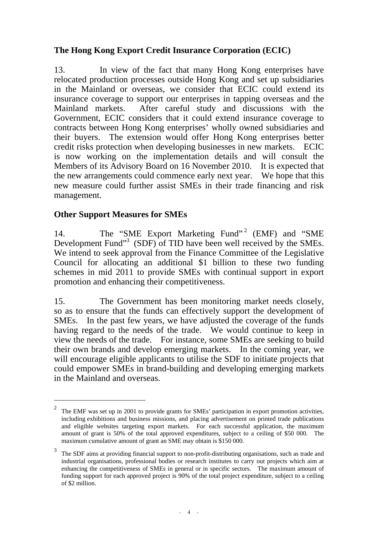# **The Hong Kong Export Credit Insurance Corporation (ECIC)**

13. In view of the fact that many Hong Kong enterprises have relocated production processes outside Hong Kong and set up subsidiaries in the Mainland or overseas, we consider that ECIC could extend its insurance coverage to support our enterprises in tapping overseas and the Mainland markets. After careful study and discussions with the Government, ECIC considers that it could extend insurance coverage to contracts between Hong Kong enterprises' wholly owned subsidiaries and their buyers. The extension would offer Hong Kong enterprises better credit risks protection when developing businesses in new markets. ECIC is now working on the implementation details and will consult the Members of its Advisory Board on 16 November 2010. It is expected that the new arrangements could commence early next year. We hope that this new measure could further assist SMEs in their trade financing and risk management.

# **Other Support Measures for SMEs**

-

14. The "SME Export Marketing Fund"<sup>2</sup> (EMF) and "SME Development Fund"<sup>3</sup> (SDF) of TID have been well received by the SMEs. We intend to seek approval from the Finance Committee of the Legislative Council for allocating an additional \$1 billion to these two funding schemes in mid 2011 to provide SMEs with continual support in export promotion and enhancing their competitiveness.

15. The Government has been monitoring market needs closely, so as to ensure that the funds can effectively support the development of SMEs. In the past few years, we have adjusted the coverage of the funds having regard to the needs of the trade. We would continue to keep in view the needs of the trade. For instance, some SMEs are seeking to build their own brands and develop emerging markets. In the coming year, we will encourage eligible applicants to utilise the SDF to initiate projects that could empower SMEs in brand-building and developing emerging markets in the Mainland and overseas.

<sup>&</sup>lt;sup>2</sup> The EMF was set up in 2001 to provide grants for SMEs' participation in export promotion activities, including exhibitions and business missions, and placing advertisement on printed trade publications and eligible websites targeting export markets. For each successful application, the maximum amount of grant is 50% of the total approved expenditures, subject to a ceiling of \$50 000. The maximum cumulative amount of grant an SME may obtain is \$150 000.

<sup>&</sup>lt;sup>3</sup> The SDF aims at providing financial support to non-profit-distributing organisations, such as trade and industrial organisations, professional bodies or research institutes to carry out projects which aim at enhancing the competitiveness of SMEs in general or in specific sectors. The maximum amount of funding support for each approved project is 90% of the total project expenditure, subject to a ceiling of \$2 million.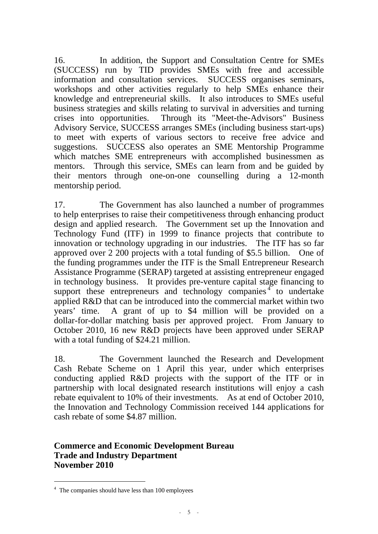16. In addition, the Support and Consultation Centre for SMEs (SUCCESS) run by TID provides SMEs with free and accessible information and consultation services. SUCCESS organises seminars, workshops and other activities regularly to help SMEs enhance their knowledge and entrepreneurial skills. It also introduces to SMEs useful business strategies and skills relating to survival in adversities and turning crises into opportunities. Through its "Meet-the-Advisors" Business Advisory Service, SUCCESS arranges SMEs (including business start-ups) to meet with experts of various sectors to receive free advice and suggestions. SUCCESS also operates an SME Mentorship Programme which matches SME entrepreneurs with accomplished businessmen as mentors. Through this service, SMEs can learn from and be guided by their mentors through one-on-one counselling during a 12-month mentorship period.

17. The Government has also launched a number of programmes to help enterprises to raise their competitiveness through enhancing product design and applied research. The Government set up the Innovation and Technology Fund (ITF) in 1999 to finance projects that contribute to innovation or technology upgrading in our industries. The ITF has so far approved over 2 200 projects with a total funding of \$5.5 billion. One of the funding programmes under the ITF is the Small Entrepreneur Research Assistance Programme (SERAP) targeted at assisting entrepreneur engaged in technology business. It provides pre-venture capital stage financing to support these entrepreneurs and technology companies<sup> $4$ </sup> to undertake applied R&D that can be introduced into the commercial market within two years' time. A grant of up to \$4 million will be provided on a dollar-for-dollar matching basis per approved project. From January to October 2010, 16 new R&D projects have been approved under SERAP with a total funding of \$24.21 million.

18. The Government launched the Research and Development Cash Rebate Scheme on 1 April this year, under which enterprises conducting applied R&D projects with the support of the ITF or in partnership with local designated research institutions will enjoy a cash rebate equivalent to 10% of their investments. As at end of October 2010, the Innovation and Technology Commission received 144 applications for cash rebate of some \$4.87 million.

# **Commerce and Economic Development Bureau Trade and Industry Department November 2010**

-

<sup>&</sup>lt;sup>4</sup> The companies should have less than 100 employees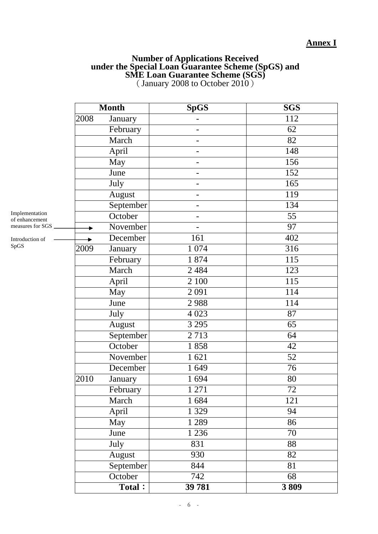## **Annex I**

#### **Number of Applications Received under the Special Loan Guarantee Scheme (SpGS) and SME Loan Guarantee Scheme (SGS)**  (January 2008 to October 2010)

|                                                       |      | <b>Month</b> | $Sp\overline{GS}$        | <b>SGS</b>       |
|-------------------------------------------------------|------|--------------|--------------------------|------------------|
|                                                       | 2008 | January      |                          | $\overline{112}$ |
|                                                       |      | February     |                          | 62               |
|                                                       |      | March        |                          | 82               |
| Implementation<br>of enhancement<br>measures for SGS. |      | April        |                          | 148              |
|                                                       |      | May          |                          | 156              |
|                                                       |      | June         | ۰                        | 152              |
|                                                       |      | July         | -                        | 165              |
|                                                       |      | August       | $\overline{\phantom{0}}$ | 119              |
|                                                       |      | September    |                          | 134              |
|                                                       |      | October      |                          | $\overline{55}$  |
|                                                       |      | November     |                          | $\overline{97}$  |
| Introduction of<br>SpGS                               |      | December     | 161                      | 402              |
|                                                       | 2009 | January      | 1 0 7 4                  | 316              |
|                                                       |      | February     | 1874                     | 115              |
|                                                       |      | March        | 2 4 8 4                  | 123              |
|                                                       |      | April        | 2 100                    | $\overline{115}$ |
|                                                       |      | May          | 2091                     | 114              |
|                                                       |      | June         | 2988                     | 114              |
|                                                       |      | July         | 4 0 23                   | 87               |
|                                                       |      | August       | 3 2 9 5                  | 65               |
|                                                       |      | September    | 2713                     | 64               |
|                                                       |      | October      | 1858                     | 42               |
|                                                       |      | November     | 1621                     | 52               |
|                                                       |      | December     | 1649                     | 76               |
|                                                       | 2010 | January      | 1694                     | 80               |
|                                                       |      | February     | 1 271                    | 72               |
|                                                       |      | March        | 1684                     | 121              |
|                                                       |      | April        | 1 3 2 9                  | 94               |
|                                                       |      | May          | 1 2 8 9                  | 86               |
|                                                       |      | June         | 1 2 3 6                  | 70               |
|                                                       |      | July         | 831                      | 88               |
|                                                       |      | August       | 930                      | 82               |
|                                                       |      | September    | 844                      | 81               |
|                                                       |      | October      | 742                      | 68               |
|                                                       |      | Total:       | 39 781                   | 3809             |